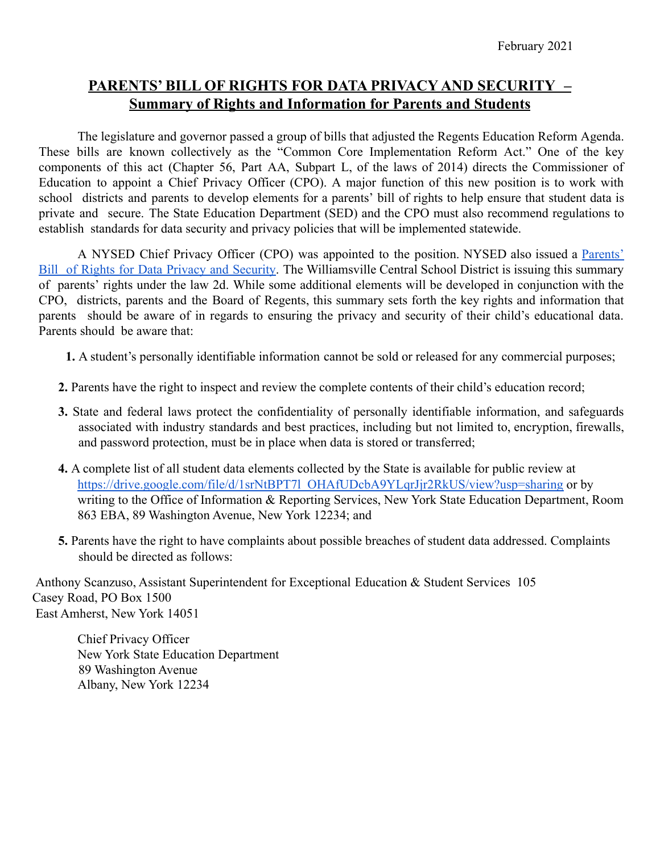## **PARENTS' BILL OF RIGHTS FOR DATA PRIVACY AND SECURITY – Summary of Rights and Information for Parents and Students**

The legislature and governor passed a group of bills that adjusted the Regents Education Reform Agenda. These bills are known collectively as the "Common Core Implementation Reform Act." One of the key components of this act (Chapter 56, Part AA, Subpart L, of the laws of 2014) directs the Commissioner of Education to appoint a Chief Privacy Officer (CPO). A major function of this new position is to work with school districts and parents to develop elements for a parents' bill of rights to help ensure that student data is private and secure. The State Education Department (SED) and the CPO must also recommend regulations to establish standards for data security and privacy policies that will be implemented statewide.

A NYSED Chief Privacy Officer (CPO) was appointed to the position. NYSED also issued a [Parents'](http://www.nysed.gov/common/nysed/files/programs/data-privacy-security/parents-bill-of-rights_2.pdf) Bill of Rights for Data Privacy and [Security.](http://www.nysed.gov/common/nysed/files/programs/data-privacy-security/parents-bill-of-rights_2.pdf) The Williamsville Central School District is issuing this summary of parents' rights under the law 2d. While some additional elements will be developed in conjunction with the CPO, districts, parents and the Board of Regents, this summary sets forth the key rights and information that parents should be aware of in regards to ensuring the privacy and security of their child's educational data. Parents should be aware that:

**1.** A student's personally identifiable information cannot be sold or released for any commercial purposes;

- **2.** Parents have the right to inspect and review the complete contents of their child's education record;
- **3.** State and federal laws protect the confidentiality of personally identifiable information, and safeguards associated with industry standards and best practices, including but not limited to, encryption, firewalls, and password protection, must be in place when data is stored or transferred;
- **4.** A complete list of all student data elements collected by the State is available for public review at [https://drive.google.com/file/d/1srNtBPT7l\\_OHAfUDcbA9YLqrJjr2RkUS/view?usp=sharing](http://www.nysed.gov/common/nysed/files/programs/data-privacy-security/inventory-of-data-elements-collected-by-nysed_0.pdf) or by writing to the Office of Information & Reporting Services, New York State Education Department, Room 863 EBA, 89 Washington Avenue, New York 12234; and
- **5.** Parents have the right to have complaints about possible breaches of student data addressed. Complaints should be directed as follows:

Anthony Scanzuso, Assistant Superintendent for Exceptional Education & Student Services 105 Casey Road, PO Box 1500 East Amherst, New York 14051

Chief Privacy Officer New York State Education Department 89 Washington Avenue Albany, New York 12234